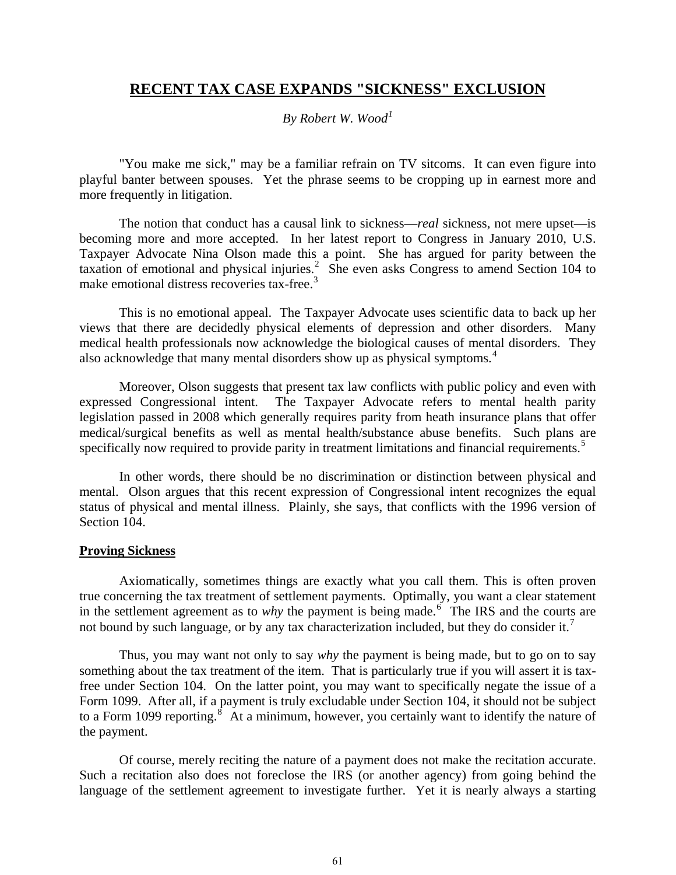# **RECENT TAX CASE EXPANDS "SICKNESS" EXCLUSION**

## *By Robert W. Wood[1](#page-7-0)*

"You make me sick," may be a familiar refrain on TV sitcoms. It can even figure into playful banter between spouses. Yet the phrase seems to be cropping up in earnest more and more frequently in litigation.

The notion that conduct has a causal link to sickness—*real* sickness, not mere upset—is becoming more and more accepted. In her latest report to Congress in January 2010, U.S. Taxpayer Advocate Nina Olson made this a point. She has argued for parity between the taxation of emotional and physical injuries.<sup>[2](#page-8-0)</sup> She even asks Congress to amend Section 104 to make emotional distress recoveries tax-free.<sup>[3](#page-8-1)</sup>

This is no emotional appeal. The Taxpayer Advocate uses scientific data to back up her views that there are decidedly physical elements of depression and other disorders. Many medical health professionals now acknowledge the biological causes of mental disorders. They also acknowledge that many mental disorders show up as physical symptoms.<sup>[4](#page-8-2)</sup>

Moreover, Olson suggests that present tax law conflicts with public policy and even with expressed Congressional intent. The Taxpayer Advocate refers to mental health parity legislation passed in 2008 which generally requires parity from heath insurance plans that offer medical/surgical benefits as well as mental health/substance abuse benefits. Such plans are specifically now required to provide parity in treatment limitations and financial requirements.<sup>[5](#page-8-3)</sup>

In other words, there should be no discrimination or distinction between physical and mental. Olson argues that this recent expression of Congressional intent recognizes the equal status of physical and mental illness. Plainly, she says, that conflicts with the 1996 version of Section 104.

## **Proving Sickness**

Axiomatically, sometimes things are exactly what you call them. This is often proven true concerning the tax treatment of settlement payments. Optimally, you want a clear statement in the settlement agreement as to *why* the payment is being made.<sup>[6](#page-8-4)</sup> The IRS and the courts are not bound by such language, or by any tax characterization included, but they do consider it.<sup>[7](#page-8-5)</sup>

Thus, you may want not only to say *why* the payment is being made, but to go on to say something about the tax treatment of the item. That is particularly true if you will assert it is taxfree under Section 104. On the latter point, you may want to specifically negate the issue of a Form 1099. After all, if a payment is truly excludable under Section 104, it should not be subject to a Form 1099 reporting.<sup>[8](#page-8-6)</sup> At a minimum, however, you certainly want to identify the nature of the payment.

Of course, merely reciting the nature of a payment does not make the recitation accurate. Such a recitation also does not foreclose the IRS (or another agency) from going behind the language of the settlement agreement to investigate further. Yet it is nearly always a starting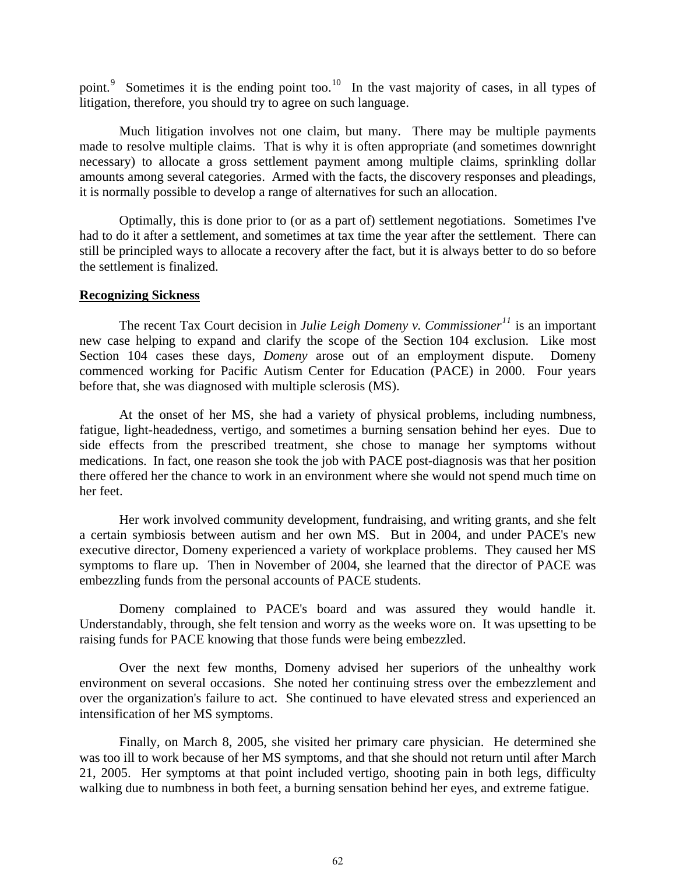point.<sup>[9](#page-8-7)</sup> Sometimes it is the ending point too.<sup>[10](#page-8-8)</sup> In the vast majority of cases, in all types of litigation, therefore, you should try to agree on such language.

Much litigation involves not one claim, but many. There may be multiple payments made to resolve multiple claims. That is why it is often appropriate (and sometimes downright necessary) to allocate a gross settlement payment among multiple claims, sprinkling dollar amounts among several categories. Armed with the facts, the discovery responses and pleadings, it is normally possible to develop a range of alternatives for such an allocation.

Optimally, this is done prior to (or as a part of) settlement negotiations. Sometimes I've had to do it after a settlement, and sometimes at tax time the year after the settlement. There can still be principled ways to allocate a recovery after the fact, but it is always better to do so before the settlement is finalized.

#### **Recognizing Sickness**

The recent Tax Court decision in *Julie Leigh Domeny v. Commissioner[11](#page-8-9)* is an important new case helping to expand and clarify the scope of the Section 104 exclusion. Like most Section 104 cases these days, *Domeny* arose out of an employment dispute. Domeny commenced working for Pacific Autism Center for Education (PACE) in 2000. Four years before that, she was diagnosed with multiple sclerosis (MS).

At the onset of her MS, she had a variety of physical problems, including numbness, fatigue, light-headedness, vertigo, and sometimes a burning sensation behind her eyes. Due to side effects from the prescribed treatment, she chose to manage her symptoms without medications. In fact, one reason she took the job with PACE post-diagnosis was that her position there offered her the chance to work in an environment where she would not spend much time on her feet.

Her work involved community development, fundraising, and writing grants, and she felt a certain symbiosis between autism and her own MS. But in 2004, and under PACE's new executive director, Domeny experienced a variety of workplace problems. They caused her MS symptoms to flare up. Then in November of 2004, she learned that the director of PACE was embezzling funds from the personal accounts of PACE students.

Domeny complained to PACE's board and was assured they would handle it. Understandably, through, she felt tension and worry as the weeks wore on. It was upsetting to be raising funds for PACE knowing that those funds were being embezzled.

Over the next few months, Domeny advised her superiors of the unhealthy work environment on several occasions. She noted her continuing stress over the embezzlement and over the organization's failure to act. She continued to have elevated stress and experienced an intensification of her MS symptoms.

Finally, on March 8, 2005, she visited her primary care physician. He determined she was too ill to work because of her MS symptoms, and that she should not return until after March 21, 2005. Her symptoms at that point included vertigo, shooting pain in both legs, difficulty walking due to numbness in both feet, a burning sensation behind her eyes, and extreme fatigue.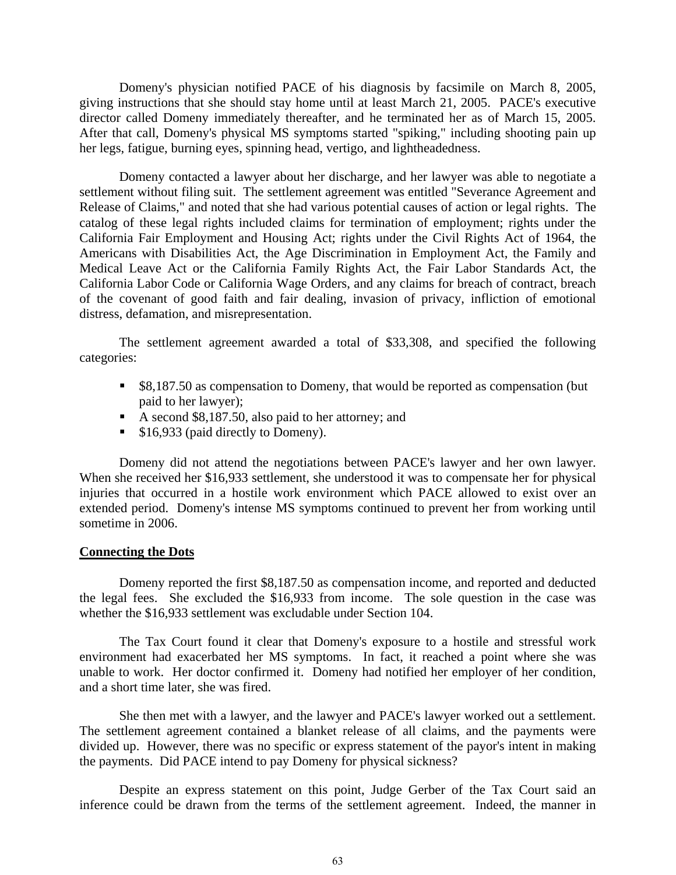Domeny's physician notified PACE of his diagnosis by facsimile on March 8, 2005, giving instructions that she should stay home until at least March 21, 2005. PACE's executive director called Domeny immediately thereafter, and he terminated her as of March 15, 2005. After that call, Domeny's physical MS symptoms started "spiking," including shooting pain up her legs, fatigue, burning eyes, spinning head, vertigo, and lightheadedness.

Domeny contacted a lawyer about her discharge, and her lawyer was able to negotiate a settlement without filing suit. The settlement agreement was entitled "Severance Agreement and Release of Claims," and noted that she had various potential causes of action or legal rights. The catalog of these legal rights included claims for termination of employment; rights under the California Fair Employment and Housing Act; rights under the Civil Rights Act of 1964, the Americans with Disabilities Act, the Age Discrimination in Employment Act, the Family and Medical Leave Act or the California Family Rights Act, the Fair Labor Standards Act, the California Labor Code or California Wage Orders, and any claims for breach of contract, breach of the covenant of good faith and fair dealing, invasion of privacy, infliction of emotional distress, defamation, and misrepresentation.

The settlement agreement awarded a total of \$33,308, and specified the following categories:

- **58,187.50** as compensation to Domeny, that would be reported as compensation (but paid to her lawyer);
- A second \$8,187.50, also paid to her attorney; and
- \$16,933 (paid directly to Domeny).

Domeny did not attend the negotiations between PACE's lawyer and her own lawyer. When she received her \$16,933 settlement, she understood it was to compensate her for physical injuries that occurred in a hostile work environment which PACE allowed to exist over an extended period. Domeny's intense MS symptoms continued to prevent her from working until sometime in 2006.

#### **Connecting the Dots**

Domeny reported the first \$8,187.50 as compensation income, and reported and deducted the legal fees. She excluded the \$16,933 from income. The sole question in the case was whether the \$16,933 settlement was excludable under Section 104.

The Tax Court found it clear that Domeny's exposure to a hostile and stressful work environment had exacerbated her MS symptoms. In fact, it reached a point where she was unable to work. Her doctor confirmed it. Domeny had notified her employer of her condition, and a short time later, she was fired.

She then met with a lawyer, and the lawyer and PACE's lawyer worked out a settlement. The settlement agreement contained a blanket release of all claims, and the payments were divided up. However, there was no specific or express statement of the payor's intent in making the payments. Did PACE intend to pay Domeny for physical sickness?

Despite an express statement on this point, Judge Gerber of the Tax Court said an inference could be drawn from the terms of the settlement agreement. Indeed, the manner in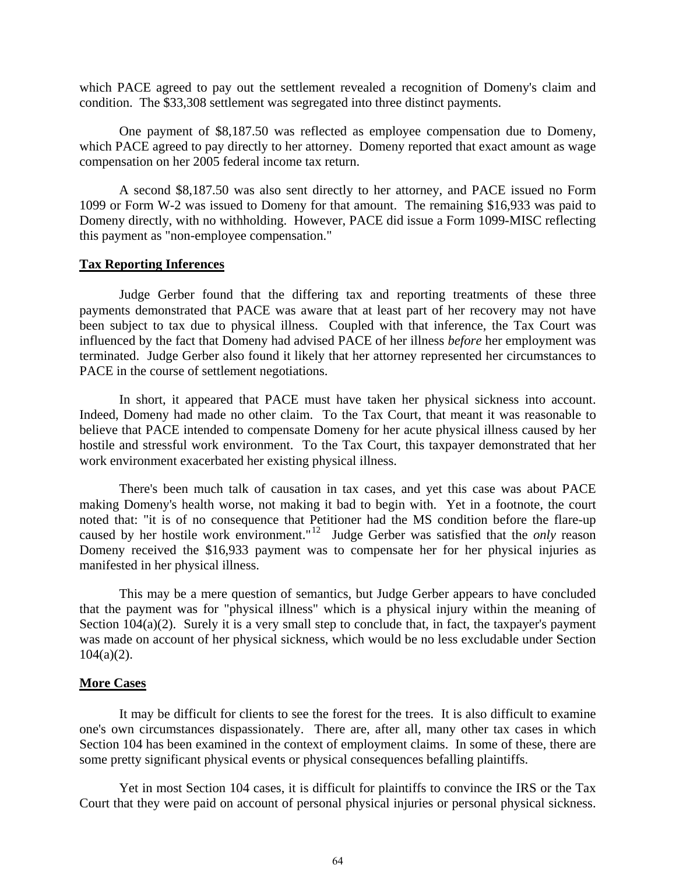which PACE agreed to pay out the settlement revealed a recognition of Domeny's claim and condition. The \$33,308 settlement was segregated into three distinct payments.

One payment of \$8,187.50 was reflected as employee compensation due to Domeny, which PACE agreed to pay directly to her attorney. Domeny reported that exact amount as wage compensation on her 2005 federal income tax return.

A second \$8,187.50 was also sent directly to her attorney, and PACE issued no Form 1099 or Form W-2 was issued to Domeny for that amount. The remaining \$16,933 was paid to Domeny directly, with no withholding. However, PACE did issue a Form 1099-MISC reflecting this payment as "non-employee compensation."

## **Tax Reporting Inferences**

Judge Gerber found that the differing tax and reporting treatments of these three payments demonstrated that PACE was aware that at least part of her recovery may not have been subject to tax due to physical illness. Coupled with that inference, the Tax Court was influenced by the fact that Domeny had advised PACE of her illness *before* her employment was terminated. Judge Gerber also found it likely that her attorney represented her circumstances to PACE in the course of settlement negotiations.

In short, it appeared that PACE must have taken her physical sickness into account. Indeed, Domeny had made no other claim. To the Tax Court, that meant it was reasonable to believe that PACE intended to compensate Domeny for her acute physical illness caused by her hostile and stressful work environment. To the Tax Court, this taxpayer demonstrated that her work environment exacerbated her existing physical illness.

There's been much talk of causation in tax cases, and yet this case was about PACE making Domeny's health worse, not making it bad to begin with. Yet in a footnote, the court noted that: "it is of no consequence that Petitioner had the MS condition before the flare-up caused by her hostile work environment."[12](#page-8-10) Judge Gerber was satisfied that the *only* reason Domeny received the \$16,933 payment was to compensate her for her physical injuries as manifested in her physical illness.

This may be a mere question of semantics, but Judge Gerber appears to have concluded that the payment was for "physical illness" which is a physical injury within the meaning of Section 104(a)(2). Surely it is a very small step to conclude that, in fact, the taxpayer's payment was made on account of her physical sickness, which would be no less excludable under Section  $104(a)(2)$ .

## **More Cases**

It may be difficult for clients to see the forest for the trees. It is also difficult to examine one's own circumstances dispassionately. There are, after all, many other tax cases in which Section 104 has been examined in the context of employment claims. In some of these, there are some pretty significant physical events or physical consequences befalling plaintiffs.

Yet in most Section 104 cases, it is difficult for plaintiffs to convince the IRS or the Tax Court that they were paid on account of personal physical injuries or personal physical sickness.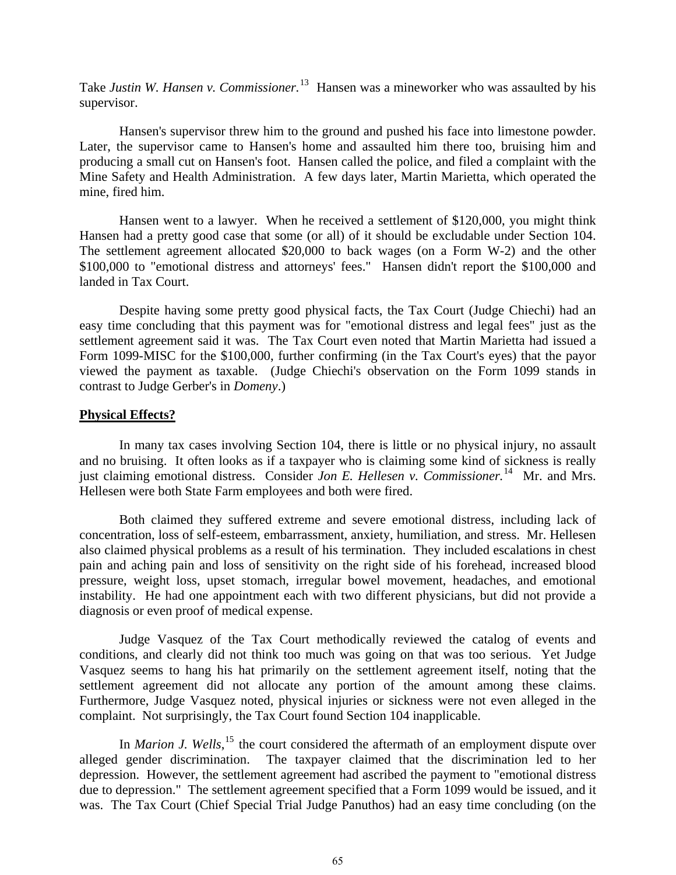Take *Justin W. Hansen v. Commissioner.*[13](#page-8-11) Hansen was a mineworker who was assaulted by his supervisor.

Hansen's supervisor threw him to the ground and pushed his face into limestone powder. Later, the supervisor came to Hansen's home and assaulted him there too, bruising him and producing a small cut on Hansen's foot. Hansen called the police, and filed a complaint with the Mine Safety and Health Administration. A few days later, Martin Marietta, which operated the mine, fired him.

Hansen went to a lawyer. When he received a settlement of \$120,000, you might think Hansen had a pretty good case that some (or all) of it should be excludable under Section 104. The settlement agreement allocated \$20,000 to back wages (on a Form W-2) and the other \$100,000 to "emotional distress and attorneys' fees." Hansen didn't report the \$100,000 and landed in Tax Court.

Despite having some pretty good physical facts, the Tax Court (Judge Chiechi) had an easy time concluding that this payment was for "emotional distress and legal fees" just as the settlement agreement said it was. The Tax Court even noted that Martin Marietta had issued a Form 1099-MISC for the \$100,000, further confirming (in the Tax Court's eyes) that the payor viewed the payment as taxable. (Judge Chiechi's observation on the Form 1099 stands in contrast to Judge Gerber's in *Domeny*.)

#### **Physical Effects?**

In many tax cases involving Section 104, there is little or no physical injury, no assault and no bruising. It often looks as if a taxpayer who is claiming some kind of sickness is really just claiming emotional distress. Consider *Jon E. Hellesen v. Commissioner.*[14](#page-8-12) Mr. and Mrs. Hellesen were both State Farm employees and both were fired.

Both claimed they suffered extreme and severe emotional distress, including lack of concentration, loss of self-esteem, embarrassment, anxiety, humiliation, and stress. Mr. Hellesen also claimed physical problems as a result of his termination. They included escalations in chest pain and aching pain and loss of sensitivity on the right side of his forehead, increased blood pressure, weight loss, upset stomach, irregular bowel movement, headaches, and emotional instability. He had one appointment each with two different physicians, but did not provide a diagnosis or even proof of medical expense.

Judge Vasquez of the Tax Court methodically reviewed the catalog of events and conditions, and clearly did not think too much was going on that was too serious. Yet Judge Vasquez seems to hang his hat primarily on the settlement agreement itself, noting that the settlement agreement did not allocate any portion of the amount among these claims. Furthermore, Judge Vasquez noted, physical injuries or sickness were not even alleged in the complaint. Not surprisingly, the Tax Court found Section 104 inapplicable.

In *Marion J. Wells*,<sup>[15](#page-8-13)</sup> the court considered the aftermath of an employment dispute over alleged gender discrimination. The taxpayer claimed that the discrimination led to her depression. However, the settlement agreement had ascribed the payment to "emotional distress due to depression." The settlement agreement specified that a Form 1099 would be issued, and it was. The Tax Court (Chief Special Trial Judge Panuthos) had an easy time concluding (on the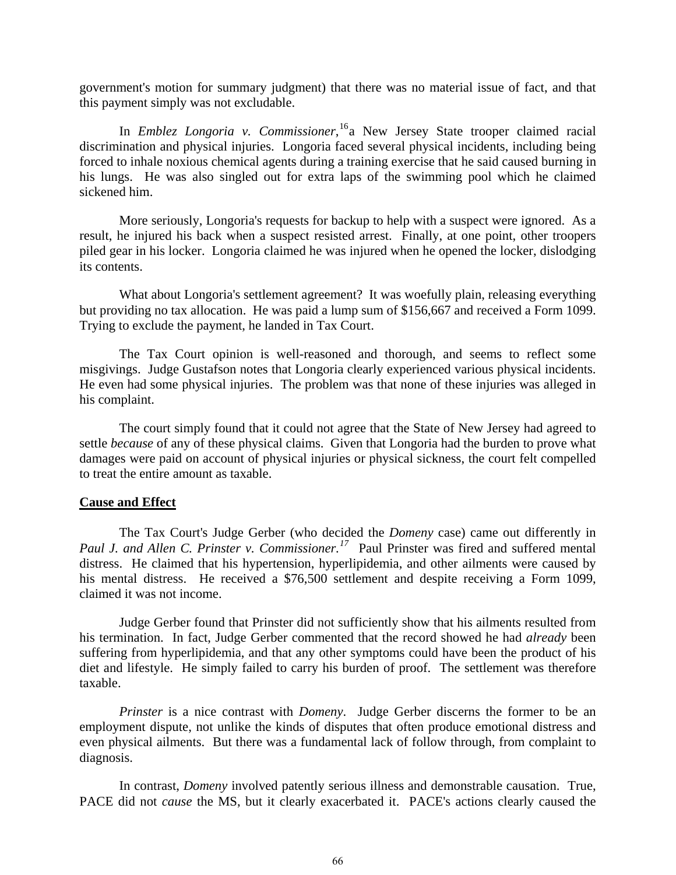government's motion for summary judgment) that there was no material issue of fact, and that this payment simply was not excludable.

In *Emblez Longoria v. Commissioner*, [16](#page-8-14)a New Jersey State trooper claimed racial discrimination and physical injuries. Longoria faced several physical incidents, including being forced to inhale noxious chemical agents during a training exercise that he said caused burning in his lungs. He was also singled out for extra laps of the swimming pool which he claimed sickened him.

More seriously, Longoria's requests for backup to help with a suspect were ignored. As a result, he injured his back when a suspect resisted arrest. Finally, at one point, other troopers piled gear in his locker. Longoria claimed he was injured when he opened the locker, dislodging its contents.

What about Longoria's settlement agreement? It was woefully plain, releasing everything but providing no tax allocation. He was paid a lump sum of \$156,667 and received a Form 1099. Trying to exclude the payment, he landed in Tax Court.

The Tax Court opinion is well-reasoned and thorough, and seems to reflect some misgivings. Judge Gustafson notes that Longoria clearly experienced various physical incidents. He even had some physical injuries. The problem was that none of these injuries was alleged in his complaint.

The court simply found that it could not agree that the State of New Jersey had agreed to settle *because* of any of these physical claims. Given that Longoria had the burden to prove what damages were paid on account of physical injuries or physical sickness, the court felt compelled to treat the entire amount as taxable.

#### **Cause and Effect**

The Tax Court's Judge Gerber (who decided the *Domeny* case) came out differently in *Paul J. and Allen C. Prinster v. Commissioner.[17](#page-8-15)* Paul Prinster was fired and suffered mental distress. He claimed that his hypertension, hyperlipidemia, and other ailments were caused by his mental distress. He received a \$76,500 settlement and despite receiving a Form 1099, claimed it was not income.

Judge Gerber found that Prinster did not sufficiently show that his ailments resulted from his termination. In fact, Judge Gerber commented that the record showed he had *already* been suffering from hyperlipidemia, and that any other symptoms could have been the product of his diet and lifestyle. He simply failed to carry his burden of proof. The settlement was therefore taxable.

*Prinster* is a nice contrast with *Domeny*. Judge Gerber discerns the former to be an employment dispute, not unlike the kinds of disputes that often produce emotional distress and even physical ailments. But there was a fundamental lack of follow through, from complaint to diagnosis.

In contrast, *Domeny* involved patently serious illness and demonstrable causation. True, PACE did not *cause* the MS, but it clearly exacerbated it. PACE's actions clearly caused the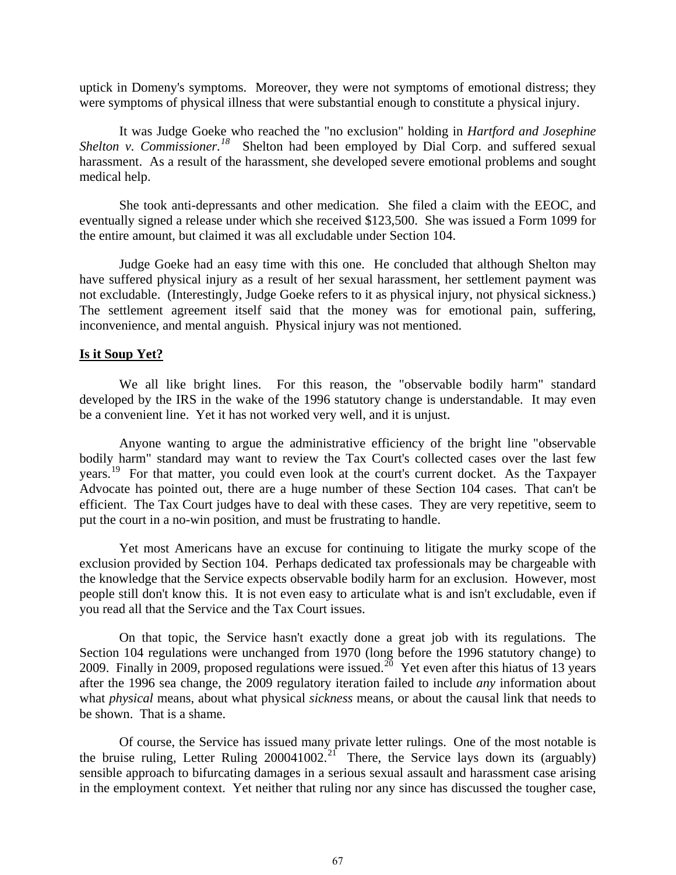uptick in Domeny's symptoms. Moreover, they were not symptoms of emotional distress; they were symptoms of physical illness that were substantial enough to constitute a physical injury.

It was Judge Goeke who reached the "no exclusion" holding in *Hartford and Josephine Shelton v. Commissioner.*<sup>[18](#page-8-16)</sup> Shelton had been employed by Dial Corp. and suffered sexual harassment. As a result of the harassment, she developed severe emotional problems and sought medical help.

She took anti-depressants and other medication. She filed a claim with the EEOC, and eventually signed a release under which she received \$123,500. She was issued a Form 1099 for the entire amount, but claimed it was all excludable under Section 104.

Judge Goeke had an easy time with this one. He concluded that although Shelton may have suffered physical injury as a result of her sexual harassment, her settlement payment was not excludable. (Interestingly, Judge Goeke refers to it as physical injury, not physical sickness.) The settlement agreement itself said that the money was for emotional pain, suffering, inconvenience, and mental anguish. Physical injury was not mentioned.

## **Is it Soup Yet?**

We all like bright lines. For this reason, the "observable bodily harm" standard developed by the IRS in the wake of the 1996 statutory change is understandable. It may even be a convenient line. Yet it has not worked very well, and it is unjust.

Anyone wanting to argue the administrative efficiency of the bright line "observable bodily harm" standard may want to review the Tax Court's collected cases over the last few years.<sup>[19](#page-8-17)</sup> For that matter, you could even look at the court's current docket. As the Taxpayer Advocate has pointed out, there are a huge number of these Section 104 cases. That can't be efficient. The Tax Court judges have to deal with these cases. They are very repetitive, seem to put the court in a no-win position, and must be frustrating to handle.

Yet most Americans have an excuse for continuing to litigate the murky scope of the exclusion provided by Section 104. Perhaps dedicated tax professionals may be chargeable with the knowledge that the Service expects observable bodily harm for an exclusion. However, most people still don't know this. It is not even easy to articulate what is and isn't excludable, even if you read all that the Service and the Tax Court issues.

On that topic, the Service hasn't exactly done a great job with its regulations. The Section 104 regulations were unchanged from 1970 (long before the 1996 statutory change) to [20](#page-8-18)09. Finally in 2009, proposed regulations were issued.<sup>20</sup> Yet even after this hiatus of 13 years after the 1996 sea change, the 2009 regulatory iteration failed to include *any* information about what *physical* means, about what physical *sickness* means, or about the causal link that needs to be shown. That is a shame.

Of course, the Service has issued many private letter rulings. One of the most notable is the bruise ruling, Letter Ruling  $200041002<sup>21</sup>$  $200041002<sup>21</sup>$  $200041002<sup>21</sup>$  There, the Service lays down its (arguably) sensible approach to bifurcating damages in a serious sexual assault and harassment case arising in the employment context. Yet neither that ruling nor any since has discussed the tougher case,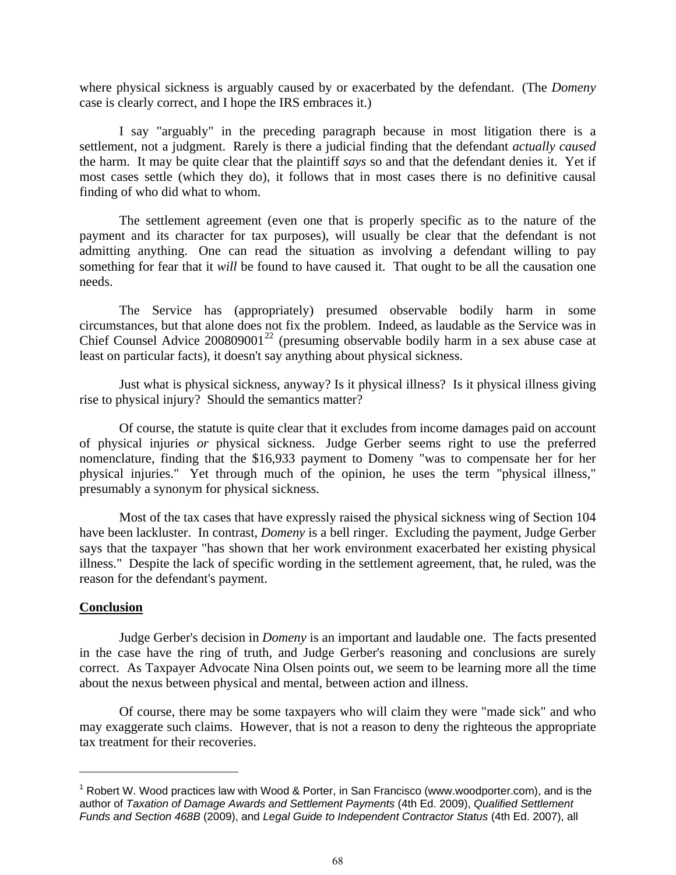where physical sickness is arguably caused by or exacerbated by the defendant. (The *Domeny* case is clearly correct, and I hope the IRS embraces it.)

I say "arguably" in the preceding paragraph because in most litigation there is a settlement, not a judgment. Rarely is there a judicial finding that the defendant *actually caused* the harm. It may be quite clear that the plaintiff *says* so and that the defendant denies it. Yet if most cases settle (which they do), it follows that in most cases there is no definitive causal finding of who did what to whom.

The settlement agreement (even one that is properly specific as to the nature of the payment and its character for tax purposes), will usually be clear that the defendant is not admitting anything. One can read the situation as involving a defendant willing to pay something for fear that it *will* be found to have caused it. That ought to be all the causation one needs.

The Service has (appropriately) presumed observable bodily harm in some circumstances, but that alone does not fix the problem. Indeed, as laudable as the Service was in Chief Counsel Advice 200809001<sup>[22](#page-8-20)</sup> (presuming observable bodily harm in a sex abuse case at least on particular facts), it doesn't say anything about physical sickness.

Just what is physical sickness, anyway? Is it physical illness? Is it physical illness giving rise to physical injury? Should the semantics matter?

Of course, the statute is quite clear that it excludes from income damages paid on account of physical injuries *or* physical sickness. Judge Gerber seems right to use the preferred nomenclature, finding that the \$16,933 payment to Domeny "was to compensate her for her physical injuries." Yet through much of the opinion, he uses the term "physical illness," presumably a synonym for physical sickness.

Most of the tax cases that have expressly raised the physical sickness wing of Section 104 have been lackluster. In contrast, *Domeny* is a bell ringer. Excluding the payment, Judge Gerber says that the taxpayer "has shown that her work environment exacerbated her existing physical illness." Despite the lack of specific wording in the settlement agreement, that, he ruled, was the reason for the defendant's payment.

# **Conclusion**

<u>.</u>

Judge Gerber's decision in *Domeny* is an important and laudable one. The facts presented in the case have the ring of truth, and Judge Gerber's reasoning and conclusions are surely correct. As Taxpayer Advocate Nina Olsen points out, we seem to be learning more all the time about the nexus between physical and mental, between action and illness.

Of course, there may be some taxpayers who will claim they were "made sick" and who may exaggerate such claims. However, that is not a reason to deny the righteous the appropriate tax treatment for their recoveries.

<span id="page-7-0"></span> $1$  Robert W. Wood practices law with Wood & Porter, in San Francisco (www.woodporter.com), and is the author of *Taxation of Damage Awards and Settlement Payments* (4th Ed. 2009), *Qualified Settlement Funds and Section 468B* (2009), and *Legal Guide to Independent Contractor Status* (4th Ed. 2007), all